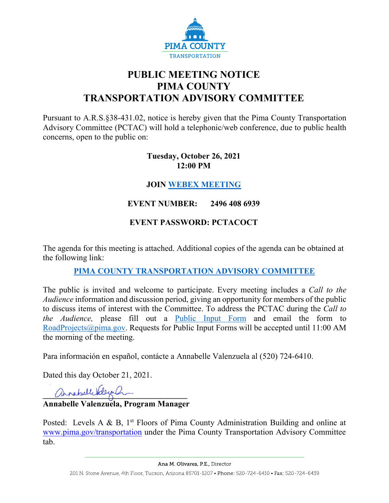

# **PUBLIC MEETING NOTICE PIMA COUNTY TRANSPORTATION ADVISORY COMMITTEE**

Pursuant to A.R.S.§38-431.02, notice is hereby given that the Pima County Transportation Advisory Committee (PCTAC) will hold a telephonic/web conference, due to public health concerns, open to the public on:

#### **Tuesday, October 26, 2021 12:00 PM**

# **JOIN [WEBEX MEETING](https://pimacounty.webex.com/mw3300/mywebex/default.do?siteurl=pimacounty&service=6)**

# **EVENT NUMBER: 2496 408 6939**

# **EVENT PASSWORD: PCTACOCT**

The agenda for this meeting is attached. Additional copies of the agenda can be obtained at the following link:

### **[PIMA COUNTY TRANSPORTATION ADVISORY COMMITTEE](https://webcms.pima.gov/cms/One.aspx?portalId=169&pageId=355530)**

The public is invited and welcome to participate. Every meeting includes a *Call to the Audience* information and discussion period, giving an opportunity for members of the public to discuss items of interest with the Committee. To address the PCTAC during the *Call to the Audience,* please fill out a [Public Input Form](https://webcms.pima.gov/UserFiles/Servers/Server_6/File/Government/Transportation/TransportationAdvisoryCommittee/PCTAC_Speaker_Card.pdf) and email the form to [RoadProjects@pima.gov.](mailto:RoadProjects@pima.gov) Requests for Public Input Forms will be accepted until 11:00 AM the morning of the meeting.

Para información en español, contácte a Annabelle Valenzuela al (520) 724-6410.

Dated this day October 21, 2021.

annabell Valeya Q

### **Annabelle Valenzuela, Program Manager**

Posted: Levels A & B,  $1<sup>st</sup>$  Floors of Pima County Administration Building and online at [www.pima.gov/transportation](http://www.pima.gov/transportation) under the Pima County Transportation Advisory Committee tab.